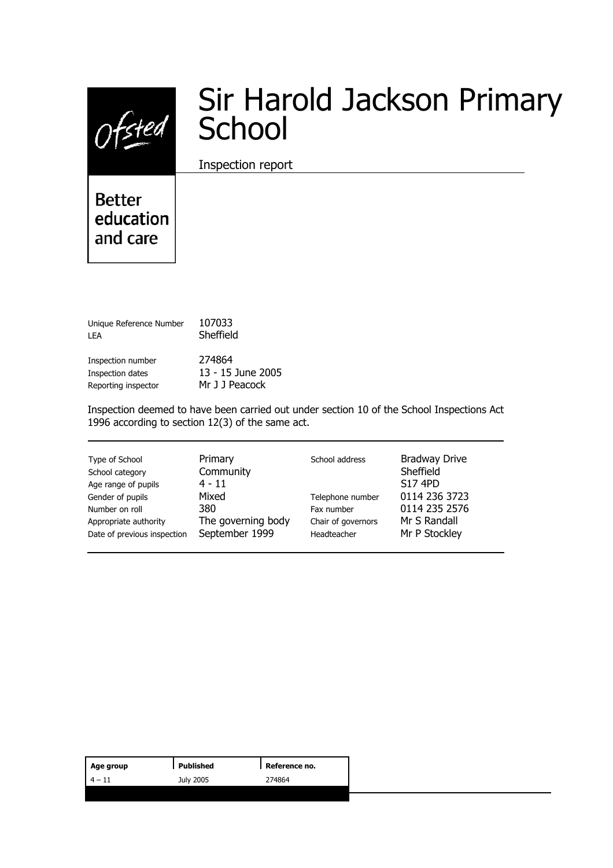Ofsted

# Sir Harold Jackson Primary School

Inspection report

**Better** education and care

Unique Reference Number 107033 LEA Sheffield

Inspection number 274864 Inspection dates 13 - 15 June 2005 Reporting inspector Mr J J Peacock

Inspection deemed to have been carried out under section 10 of the School Inspections Act 1996 according to section 12(3) of the same act.

| Type of School<br>School category<br>Age range of pupils<br>Gender of pupils<br>Number on roll<br>Appropriate authority<br>Date of previous inspection | Primary<br>Community<br>$4 - 11$<br>Mixed<br>380<br>The governing body<br>September 1999 | School address<br>Telephone number<br>Fax number<br>Chair of governors<br>Headteacher | <b>Bradway Drive</b><br>Sheffield<br>S17 4PD<br>0114 236 3723<br>0114 235 2576<br>Mr S Randall<br>Mr P Stockley |
|--------------------------------------------------------------------------------------------------------------------------------------------------------|------------------------------------------------------------------------------------------|---------------------------------------------------------------------------------------|-----------------------------------------------------------------------------------------------------------------|
|--------------------------------------------------------------------------------------------------------------------------------------------------------|------------------------------------------------------------------------------------------|---------------------------------------------------------------------------------------|-----------------------------------------------------------------------------------------------------------------|

| Age group | Published | Reference no. |
|-----------|-----------|---------------|
| $-11$     | July 2005 | 274864        |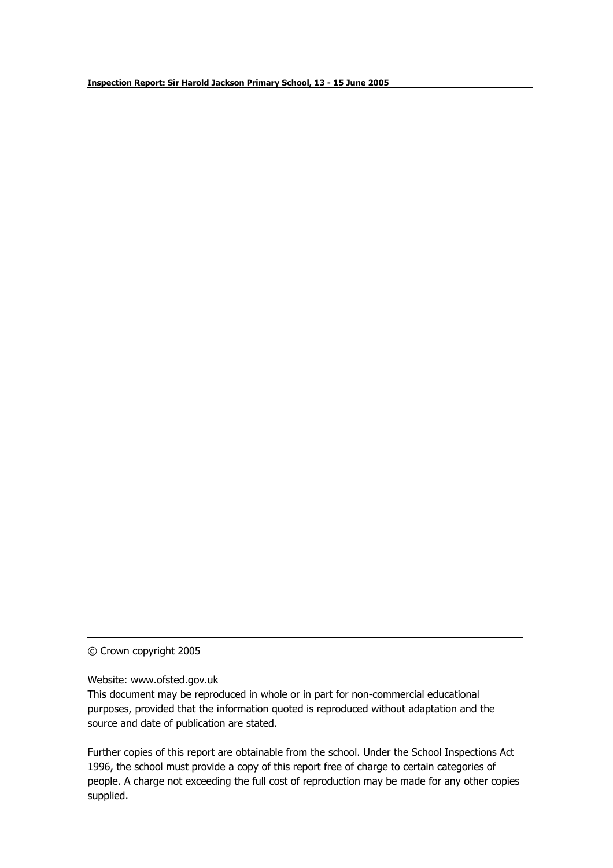© Crown copyright 2005

Website: www.ofsted.gov.uk

This document may be reproduced in whole or in part for non-commercial educational purposes, provided that the information quoted is reproduced without adaptation and the source and date of publication are stated.

Further copies of this report are obtainable from the school. Under the School Inspections Act 1996, the school must provide a copy of this report free of charge to certain categories of people. A charge not exceeding the full cost of reproduction may be made for any other copies supplied.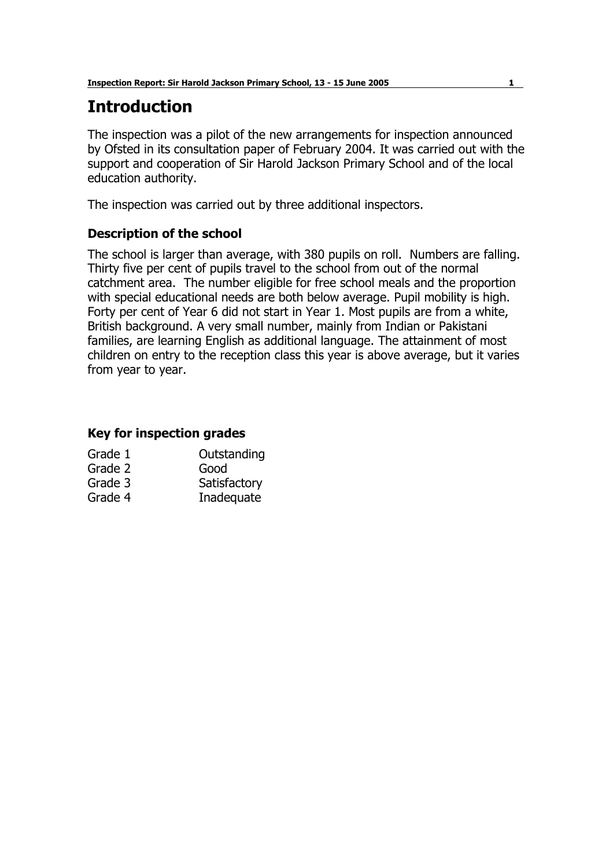# **Introduction**

The inspection was a pilot of the new arrangements for inspection announced by Ofsted in its consultation paper of February 2004. It was carried out with the support and cooperation of Sir Harold Jackson Primary School and of the local education authority.

The inspection was carried out by three additional inspectors.

#### **Description of the school**

The school is larger than average, with 380 pupils on roll. Numbers are falling. Thirty five per cent of pupils travel to the school from out of the normal catchment area. The number eligible for free school meals and the proportion with special educational needs are both below average. Pupil mobility is high. Forty per cent of Year 6 did not start in Year 1. Most pupils are from a white, British background. A very small number, mainly from Indian or Pakistani families, are learning English as additional language. The attainment of most children on entry to the reception class this year is above average, but it varies from year to year.

#### **Key for inspection grades**

| Outstanding  |
|--------------|
| Good         |
| Satisfactory |
| Inadequate   |
|              |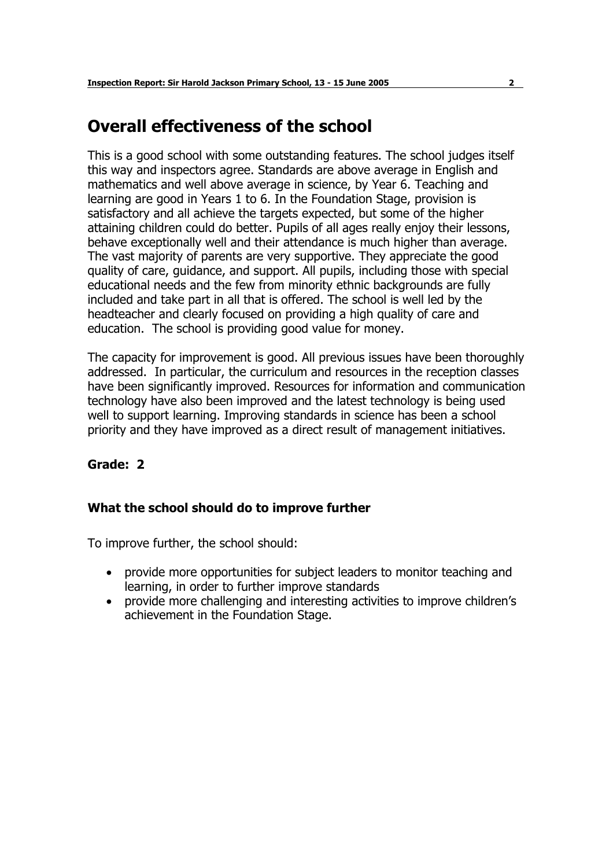# **Overall effectiveness of the school**

This is a good school with some outstanding features. The school judges itself this way and inspectors agree. Standards are above average in English and mathematics and well above average in science, by Year 6. Teaching and learning are good in Years 1 to 6. In the Foundation Stage, provision is satisfactory and all achieve the targets expected, but some of the higher attaining children could do better. Pupils of all ages really enjoy their lessons, behave exceptionally well and their attendance is much higher than average. The vast majority of parents are very supportive. They appreciate the good quality of care, guidance, and support. All pupils, including those with special educational needs and the few from minority ethnic backgrounds are fully included and take part in all that is offered. The school is well led by the headteacher and clearly focused on providing a high quality of care and education. The school is providing good value for money.

The capacity for improvement is good. All previous issues have been thoroughly addressed. In particular, the curriculum and resources in the reception classes have been significantly improved. Resources for information and communication technology have also been improved and the latest technology is being used well to support learning. Improving standards in science has been a school priority and they have improved as a direct result of management initiatives.

#### **Grade: 2**

#### **What the school should do to improve further**

To improve further, the school should:

- provide more opportunities for subject leaders to monitor teaching and learning, in order to further improve standards
- provide more challenging and interesting activities to improve children's achievement in the Foundation Stage.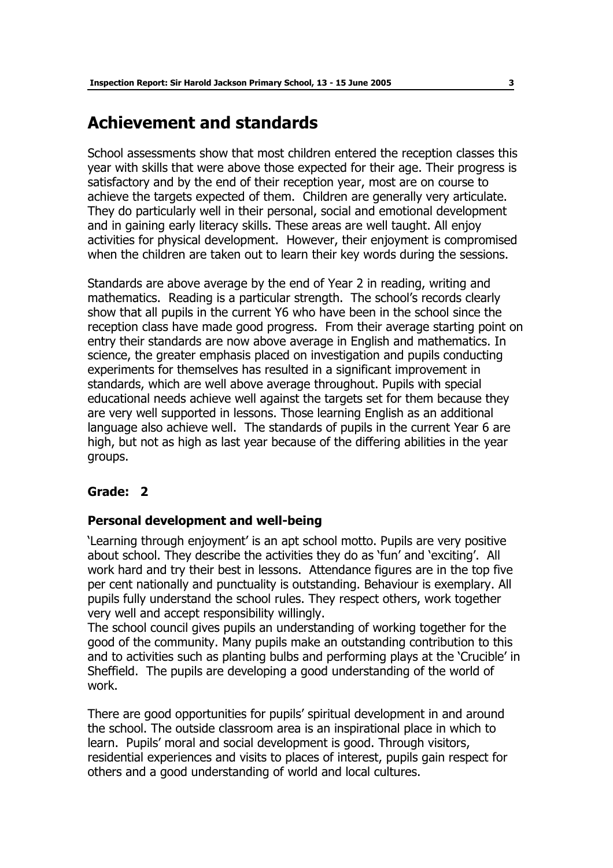## **Achievement and standards**

School assessments show that most children entered the reception classes this year with skills that were above those expected for their age. Their progress is satisfactory and by the end of their reception year, most are on course to achieve the targets expected of them. Children are generally very articulate. They do particularly well in their personal, social and emotional development and in gaining early literacy skills. These areas are well taught. All enjoy activities for physical development. However, their enjoyment is compromised when the children are taken out to learn their key words during the sessions.

Standards are above average by the end of Year 2 in reading, writing and mathematics. Reading is a particular strength. The school's records clearly show that all pupils in the current Y6 who have been in the school since the reception class have made good progress. From their average starting point on entry their standards are now above average in English and mathematics. In science, the greater emphasis placed on investigation and pupils conducting experiments for themselves has resulted in a significant improvement in standards, which are well above average throughout. Pupils with special educational needs achieve well against the targets set for them because they are very well supported in lessons. Those learning English as an additional language also achieve well. The standards of pupils in the current Year 6 are high, but not as high as last year because of the differing abilities in the year groups.

#### **Grade: 2**

#### **Personal development and well-being**

'Learning through enjoyment' is an apt school motto. Pupils are very positive about school. They describe the activities they do as 'fun' and 'exciting'. All work hard and try their best in lessons. Attendance figures are in the top five per cent nationally and punctuality is outstanding. Behaviour is exemplary. All pupils fully understand the school rules. They respect others, work together very well and accept responsibility willingly.

The school council gives pupils an understanding of working together for the good of the community. Many pupils make an outstanding contribution to this and to activities such as planting bulbs and performing plays at the 'Crucible' in Sheffield. The pupils are developing a good understanding of the world of work.

There are good opportunities for pupils' spiritual development in and around the school. The outside classroom area is an inspirational place in which to learn. Pupils' moral and social development is good. Through visitors, residential experiences and visits to places of interest, pupils gain respect for others and a good understanding of world and local cultures.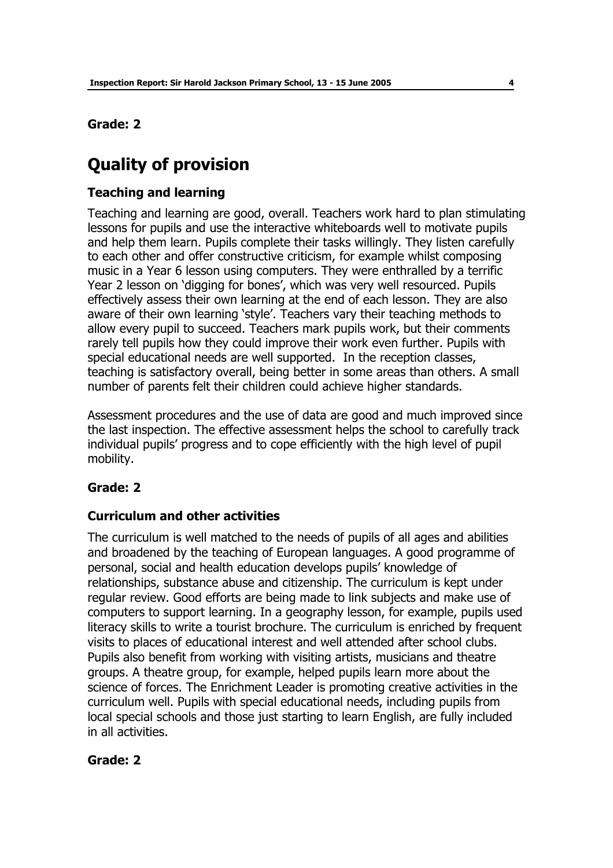#### **Grade: 2**

# **Quality of provision**

#### **Teaching and learning**

Teaching and learning are good, overall. Teachers work hard to plan stimulating lessons for pupils and use the interactive whiteboards well to motivate pupils and help them learn. Pupils complete their tasks willingly. They listen carefully to each other and offer constructive criticism, for example whilst composing music in a Year 6 lesson using computers. They were enthralled by a terrific Year 2 lesson on 'digging for bones', which was very well resourced. Pupils effectively assess their own learning at the end of each lesson. They are also aware of their own learning 'style'. Teachers vary their teaching methods to allow every pupil to succeed. Teachers mark pupils work, but their comments rarely tell pupils how they could improve their work even further. Pupils with special educational needs are well supported. In the reception classes, teaching is satisfactory overall, being better in some areas than others. A small number of parents felt their children could achieve higher standards.

Assessment procedures and the use of data are good and much improved since the last inspection. The effective assessment helps the school to carefully track individual pupils' progress and to cope efficiently with the high level of pupil mobility.

#### **Grade: 2**

#### **Curriculum and other activities**

The curriculum is well matched to the needs of pupils of all ages and abilities and broadened by the teaching of European languages. A good programme of personal, social and health education develops pupils' knowledge of relationships, substance abuse and citizenship. The curriculum is kept under regular review. Good efforts are being made to link subjects and make use of computers to support learning. In a geography lesson, for example, pupils used literacy skills to write a tourist brochure. The curriculum is enriched by frequent visits to places of educational interest and well attended after school clubs. Pupils also benefit from working with visiting artists, musicians and theatre groups. A theatre group, for example, helped pupils learn more about the science of forces. The Enrichment Leader is promoting creative activities in the curriculum well. Pupils with special educational needs, including pupils from local special schools and those just starting to learn English, are fully included in all activities.

#### **Grade: 2**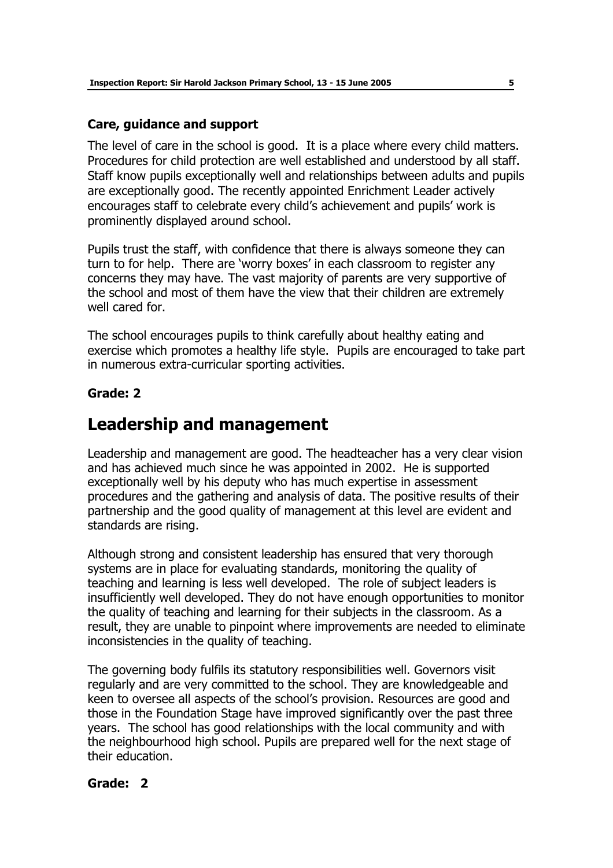#### **Care, guidance and support**

The level of care in the school is good. It is a place where every child matters. Procedures for child protection are well established and understood by all staff. Staff know pupils exceptionally well and relationships between adults and pupils are exceptionally good. The recently appointed Enrichment Leader actively encourages staff to celebrate every child's achievement and pupils' work is prominently displayed around school.

Pupils trust the staff, with confidence that there is always someone they can turn to for help. There are 'worry boxes' in each classroom to register any concerns they may have. The vast majority of parents are very supportive of the school and most of them have the view that their children are extremely well cared for.

The school encourages pupils to think carefully about healthy eating and exercise which promotes a healthy life style. Pupils are encouraged to take part in numerous extra-curricular sporting activities.

#### **Grade: 2**

### **Leadership and management**

Leadership and management are good. The headteacher has a very clear vision and has achieved much since he was appointed in 2002. He is supported exceptionally well by his deputy who has much expertise in assessment procedures and the gathering and analysis of data. The positive results of their partnership and the good quality of management at this level are evident and standards are rising.

Although strong and consistent leadership has ensured that very thorough systems are in place for evaluating standards, monitoring the quality of teaching and learning is less well developed. The role of subject leaders is insufficiently well developed. They do not have enough opportunities to monitor the quality of teaching and learning for their subjects in the classroom. As a result, they are unable to pinpoint where improvements are needed to eliminate inconsistencies in the quality of teaching.

The governing body fulfils its statutory responsibilities well. Governors visit regularly and are very committed to the school. They are knowledgeable and keen to oversee all aspects of the schoolís provision. Resources are good and those in the Foundation Stage have improved significantly over the past three years. The school has good relationships with the local community and with the neighbourhood high school. Pupils are prepared well for the next stage of their education.

#### **Grade: 2**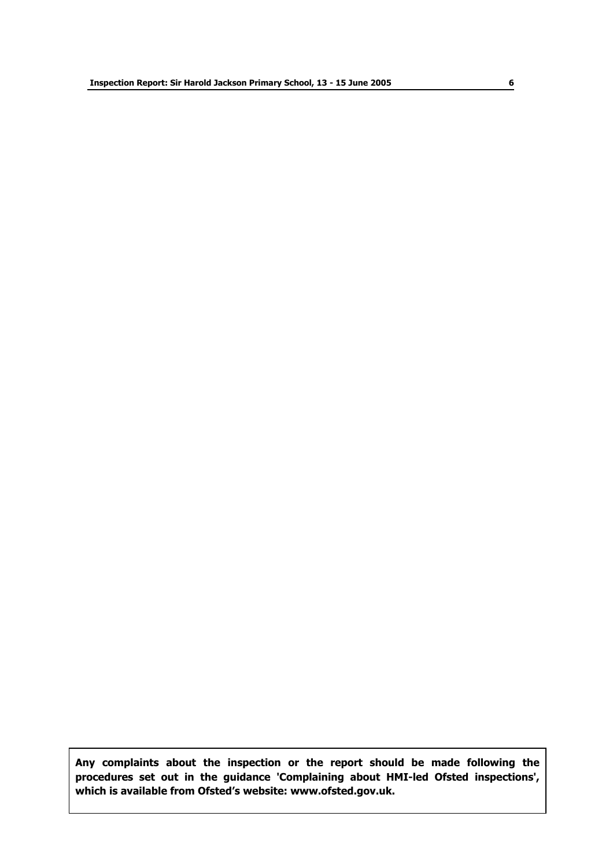**Any complaints about the inspection or the report should be made following the procedures set out in the guidance 'Complaining about HMI-led Ofsted inspections', which is available from Ofstedís website: www.ofsted.gov.uk.**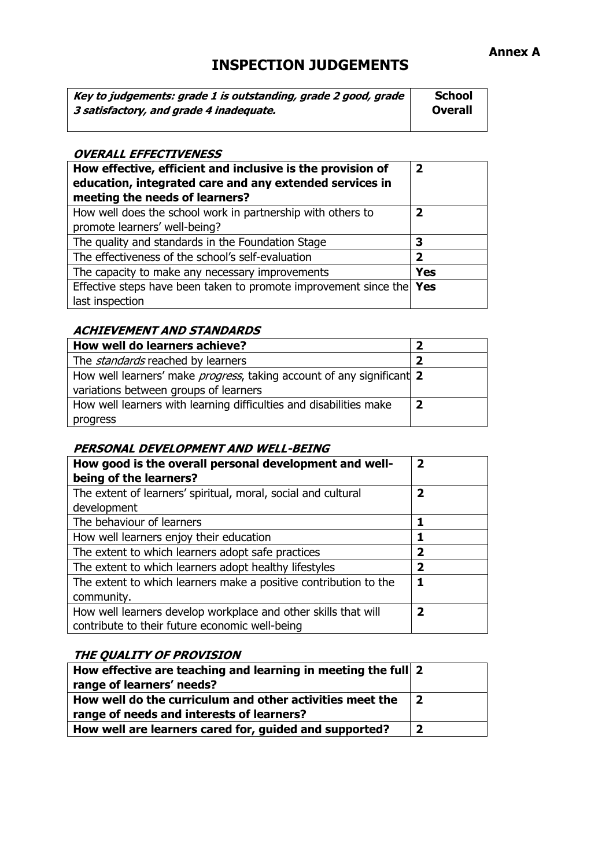### **INSPECTION JUDGEMENTS**

| Key to judgements: grade 1 is outstanding, grade 2 good, grade | <b>School</b>  |
|----------------------------------------------------------------|----------------|
| 3 satisfactory, and grade 4 inadequate.                        | <b>Overall</b> |
|                                                                |                |

#### **OVERALL EFFECTIVENESS**

| How effective, efficient and inclusive is the provision of<br>education, integrated care and any extended services in<br>meeting the needs of learners? | $\overline{\mathbf{2}}$ |
|---------------------------------------------------------------------------------------------------------------------------------------------------------|-------------------------|
| How well does the school work in partnership with others to<br>promote learners' well-being?                                                            | 2                       |
| The quality and standards in the Foundation Stage                                                                                                       | 3                       |
| The effectiveness of the school's self-evaluation                                                                                                       | 2                       |
| The capacity to make any necessary improvements                                                                                                         | <b>Yes</b>              |
| Effective steps have been taken to promote improvement since the Yes<br>last inspection                                                                 |                         |

#### **ACHIEVEMENT AND STANDARDS**

| How well do learners achieve?                                                 | 2  |
|-------------------------------------------------------------------------------|----|
| The <i>standards</i> reached by learners                                      | 2  |
| How well learners' make <i>progress</i> , taking account of any significant 2 |    |
| variations between groups of learners                                         |    |
| How well learners with learning difficulties and disabilities make            | -2 |
| progress                                                                      |    |

#### **PERSONAL DEVELOPMENT AND WELL-BEING**

| How good is the overall personal development and well-<br>being of the learners? | $\overline{\mathbf{2}}$ |
|----------------------------------------------------------------------------------|-------------------------|
|                                                                                  |                         |
| The extent of learners' spiritual, moral, social and cultural                    | $\overline{\mathbf{z}}$ |
| development                                                                      |                         |
| The behaviour of learners                                                        | 1                       |
| How well learners enjoy their education                                          | 1                       |
| The extent to which learners adopt safe practices                                | 2                       |
| The extent to which learners adopt healthy lifestyles                            | $\overline{\mathbf{2}}$ |
| The extent to which learners make a positive contribution to the                 |                         |
| community.                                                                       |                         |
| How well learners develop workplace and other skills that will                   | $\overline{\mathbf{z}}$ |
| contribute to their future economic well-being                                   |                         |

#### **THE QUALITY OF PROVISION**

| How effective are teaching and learning in meeting the full 2 |    |
|---------------------------------------------------------------|----|
| range of learners' needs?                                     |    |
| How well do the curriculum and other activities meet the      |    |
| range of needs and interests of learners?                     |    |
| How well are learners cared for, guided and supported?        | -2 |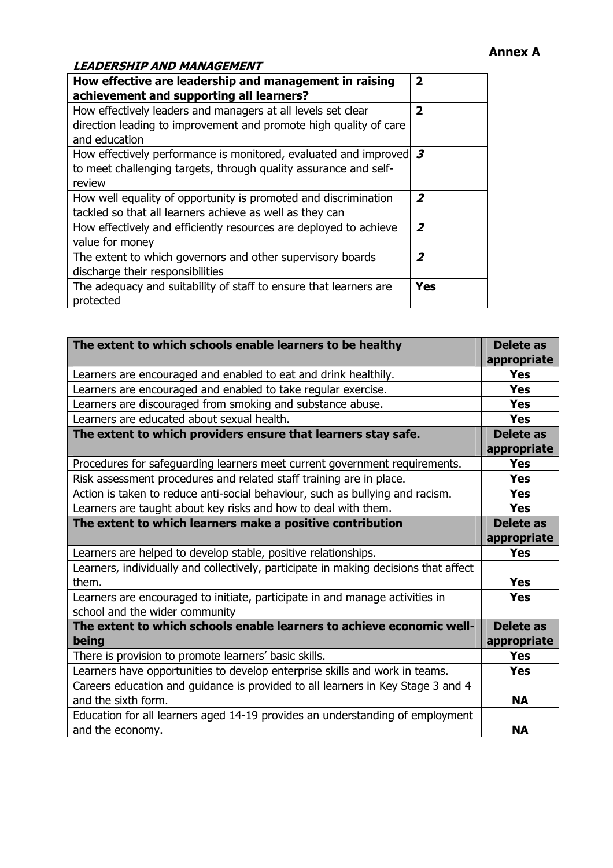#### **LEADERSHIP AND MANAGEMENT**

| How effective are leadership and management in raising<br>achievement and supporting all learners?                                                                  | $\overline{\mathbf{2}}$ |
|---------------------------------------------------------------------------------------------------------------------------------------------------------------------|-------------------------|
| How effectively leaders and managers at all levels set clear<br>direction leading to improvement and promote high quality of care<br>and education                  | $\overline{2}$          |
| How effectively performance is monitored, evaluated and improved $\boldsymbol{\beta}$<br>to meet challenging targets, through quality assurance and self-<br>review |                         |
| How well equality of opportunity is promoted and discrimination<br>tackled so that all learners achieve as well as they can                                         | 2                       |
| How effectively and efficiently resources are deployed to achieve<br>value for money                                                                                | $\overline{z}$          |
| The extent to which governors and other supervisory boards<br>discharge their responsibilities                                                                      | $\overline{z}$          |
| The adequacy and suitability of staff to ensure that learners are<br>protected                                                                                      | <b>Yes</b>              |

| The extent to which schools enable learners to be healthy                                                      | <b>Delete as</b><br>appropriate |
|----------------------------------------------------------------------------------------------------------------|---------------------------------|
| Learners are encouraged and enabled to eat and drink healthily.                                                | <b>Yes</b>                      |
| Learners are encouraged and enabled to take regular exercise.                                                  | <b>Yes</b>                      |
| Learners are discouraged from smoking and substance abuse.                                                     | <b>Yes</b>                      |
| Learners are educated about sexual health.                                                                     | <b>Yes</b>                      |
| The extent to which providers ensure that learners stay safe.                                                  | Delete as<br>appropriate        |
| Procedures for safeguarding learners meet current government requirements.                                     | <b>Yes</b>                      |
| Risk assessment procedures and related staff training are in place.                                            | <b>Yes</b>                      |
| Action is taken to reduce anti-social behaviour, such as bullying and racism.                                  | <b>Yes</b>                      |
| Learners are taught about key risks and how to deal with them.                                                 | <b>Yes</b>                      |
| The extent to which learners make a positive contribution                                                      | <b>Delete as</b><br>appropriate |
| Learners are helped to develop stable, positive relationships.                                                 | <b>Yes</b>                      |
| Learners, individually and collectively, participate in making decisions that affect<br>them.                  | <b>Yes</b>                      |
| Learners are encouraged to initiate, participate in and manage activities in<br>school and the wider community | <b>Yes</b>                      |
| The extent to which schools enable learners to achieve economic well-<br>being                                 | <b>Delete</b> as<br>appropriate |
| There is provision to promote learners' basic skills.                                                          | <b>Yes</b>                      |
| Learners have opportunities to develop enterprise skills and work in teams.                                    | <b>Yes</b>                      |
| Careers education and guidance is provided to all learners in Key Stage 3 and 4                                |                                 |
| and the sixth form.                                                                                            | <b>NA</b>                       |
| Education for all learners aged 14-19 provides an understanding of employment<br>and the economy.              | <b>NA</b>                       |